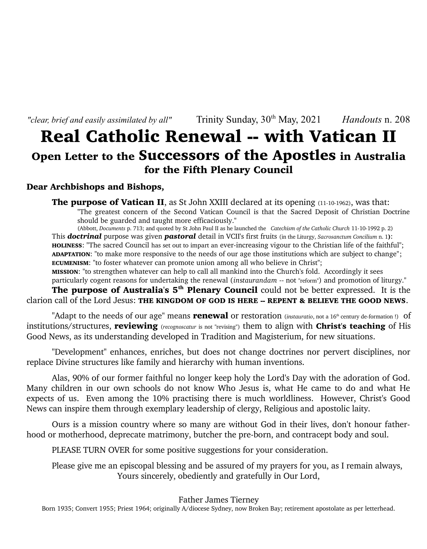*"clear, brief and easily assimilated by all"* Trinity Sunday,  $30<sup>th</sup>$  May,  $2021$  *Handouts* n. 208

## Real Catholic Renewal -- with Vatican II Open Letter to the Successors of the Apostles in Australia for the Fifth Plenary Council

### Dear Archbishops and Bishops,

**The purpose of Vatican II**, as St John XXIII declared at its opening (11-10-1962), was that: "The greatest concern of the Second Vatican Council is that the Sacred Deposit of Christian Doctrine should be guarded and taught more efficaciously."

(Abbott, *Documents* p. 713; and quoted by St John Paul II as he launched the *Catechism of the Catholic Church* 11-10-1992 p. 2) This *doctrinal* purpose was given *pastoral* detail in VCII's first fruits (in the Liturgy, *Sacrosanctum Concilium* n. 1): HOLINESS: "The sacred Council has set out to impart an ever-increasing vigour to the Christian life of the faithful"; ADAPTATION: "to make more responsive to the needs of our age those institutions which are subject to change"; ECUMENISM: "to foster whatever can promote union among all who believe in Christ"; MISSION: "to strengthen whatever can help to call all mankind into the Church's fold. Accordingly it sees

particularly cogent reasons for undertaking the renewal (*in*s*taurandam* -- not "reform") and promotion of liturgy."

The purpose of Australia's  $5<sup>th</sup>$  Plenary Council could not be better expressed. It is the clarion call of the Lord Jesus: THE KINGDOM OF GOD IS HERE -- REPENT & BELIEVE THE GOOD NEWS.

"Adapt to the needs of our age" means **renewal** or restoration (*instauratio*, not a 16<sup>th</sup> century de-formation !) of institutions/structures, reviewing (*recognoscatur* is not "revising") them to align with Christ's teaching of His Good News, as its understanding developed in Tradition and Magisterium, for new situations.

"Development" enhances, enriches, but does not change doctrines nor pervert disciplines, nor replace Divine structures like family and hierarchy with human inventions.

Alas, 90% of our former faithful no longer keep holy the Lord's Day with the adoration of God. Many children in our own schools do not know Who Jesus is, what He came to do and what He expects of us. Even among the 10% practising there is much worldliness. However, Christ's Good News can inspire them through exemplary leadership of clergy, Religious and apostolic laity.

Ours is a mission country where so many are without God in their lives, don't honour fatherhood or motherhood, deprecate matrimony, butcher the pre-born, and contracept body and soul.

PLEASE TURN OVER for some positive suggestions for your consideration.

Please give me an episcopal blessing and be assured of my prayers for you, as I remain always, Yours sincerely, obediently and gratefully in Our Lord,

Father James Tierney

Born 1935; Convert 1955; Priest 1964; originally A/diocese Sydney, now Broken Bay; retirement apostolate as per letterhead.